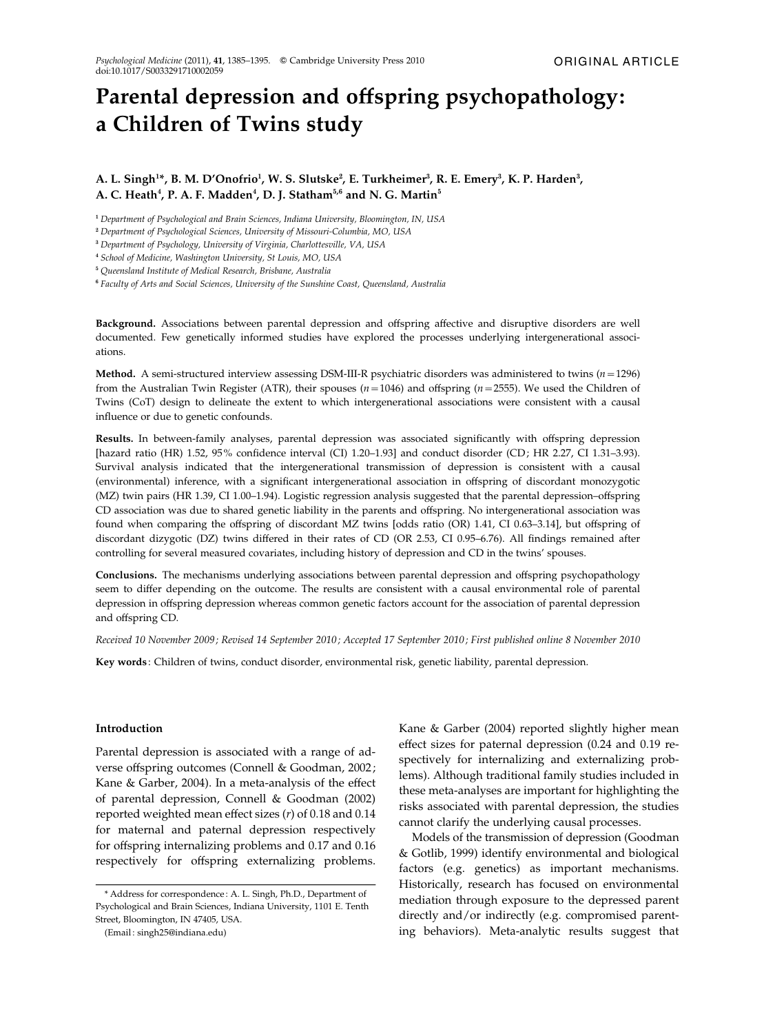# Parental depression and offspring psychopathology: a Children of Twins study

A. L. Singh $^{1*}$ , B. M. D'Onofrio $^{1}$ , W. S. Slutske $^{2}$ , E. Turkheimer $^{3}$ , R. E. Emery $^{3}$ , K. P. Harden $^{3}$ , A. C. Heath<sup>4</sup>, P. A. F. Madden<sup>4</sup>, D. J. Statham<sup>5,6</sup> and N. G. Martin<sup>5</sup>

<sup>1</sup> Department of Psychological and Brain Sciences, Indiana University, Bloomington, IN, USA

<sup>2</sup> Department of Psychological Sciences, University of Missouri-Columbia, MO, USA

<sup>3</sup> Department of Psychology, University of Virginia, Charlottesville, VA, USA

<sup>4</sup> School of Medicine, Washington University, St Louis, MO, USA

<sup>5</sup> Queensland Institute of Medical Research, Brisbane, Australia

<sup>6</sup> Faculty of Arts and Social Sciences, University of the Sunshine Coast, Queensland, Australia

Background. Associations between parental depression and offspring affective and disruptive disorders are well documented. Few genetically informed studies have explored the processes underlying intergenerational associations.

Method. A semi-structured interview assessing DSM-III-R psychiatric disorders was administered to twins ( $n=1296$ ) from the Australian Twin Register (ATR), their spouses ( $n=1046$ ) and offspring ( $n=2555$ ). We used the Children of Twins (CoT) design to delineate the extent to which intergenerational associations were consistent with a causal influence or due to genetic confounds.

Results. In between-family analyses, parental depression was associated significantly with offspring depression [hazard ratio (HR) 1.52, 95% confidence interval (CI) 1.20–1.93] and conduct disorder (CD; HR 2.27, CI 1.31–3.93). Survival analysis indicated that the intergenerational transmission of depression is consistent with a causal (environmental) inference, with a significant intergenerational association in offspring of discordant monozygotic (MZ) twin pairs (HR 1.39, CI 1.00–1.94). Logistic regression analysis suggested that the parental depression–offspring CD association was due to shared genetic liability in the parents and offspring. No intergenerational association was found when comparing the offspring of discordant MZ twins [odds ratio (OR) 1.41, CI 0.63–3.14], but offspring of discordant dizygotic (DZ) twins differed in their rates of CD (OR 2.53, CI 0.95–6.76). All findings remained after controlling for several measured covariates, including history of depression and CD in the twins' spouses.

Conclusions. The mechanisms underlying associations between parental depression and offspring psychopathology seem to differ depending on the outcome. The results are consistent with a causal environmental role of parental depression in offspring depression whereas common genetic factors account for the association of parental depression and offspring CD.

Received 10 November 2009 ; Revised 14 September 2010 ; Accepted 17 September 2010 ; First published online 8 November 2010

Key words : Children of twins, conduct disorder, environmental risk, genetic liability, parental depression.

## Introduction

Parental depression is associated with a range of adverse offspring outcomes (Connell & Goodman, 2002; Kane & Garber, 2004). In a meta-analysis of the effect of parental depression, Connell & Goodman (2002) reported weighted mean effect sizes  $(r)$  of 0.18 and 0.14 for maternal and paternal depression respectively for offspring internalizing problems and 0.17 and 0.16 respectively for offspring externalizing problems.

(Email : singh25@indiana.edu)

Kane & Garber (2004) reported slightly higher mean effect sizes for paternal depression (0.24 and 0.19 respectively for internalizing and externalizing problems). Although traditional family studies included in these meta-analyses are important for highlighting the risks associated with parental depression, the studies cannot clarify the underlying causal processes.

Models of the transmission of depression (Goodman & Gotlib, 1999) identify environmental and biological factors (e.g. genetics) as important mechanisms. Historically, research has focused on environmental mediation through exposure to the depressed parent directly and/or indirectly (e.g. compromised parenting behaviors). Meta-analytic results suggest that

<sup>\*</sup> Address for correspondence : A. L. Singh, Ph.D., Department of Psychological and Brain Sciences, Indiana University, 1101 E. Tenth Street, Bloomington, IN 47405, USA.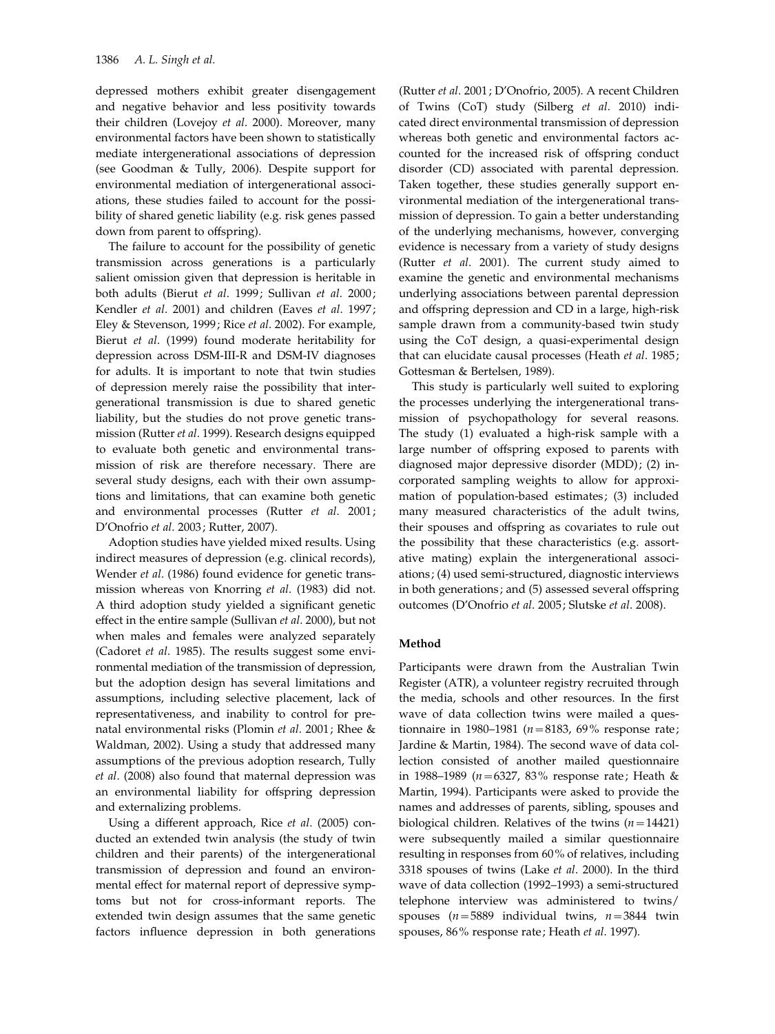depressed mothers exhibit greater disengagement and negative behavior and less positivity towards their children (Lovejoy et al. 2000). Moreover, many environmental factors have been shown to statistically mediate intergenerational associations of depression (see Goodman & Tully, 2006). Despite support for environmental mediation of intergenerational associations, these studies failed to account for the possibility of shared genetic liability (e.g. risk genes passed down from parent to offspring).

The failure to account for the possibility of genetic transmission across generations is a particularly salient omission given that depression is heritable in both adults (Bierut et al. 1999; Sullivan et al. 2000; Kendler et al. 2001) and children (Eaves et al. 1997; Eley & Stevenson, 1999; Rice et al. 2002). For example, Bierut et al. (1999) found moderate heritability for depression across DSM-III-R and DSM-IV diagnoses for adults. It is important to note that twin studies of depression merely raise the possibility that intergenerational transmission is due to shared genetic liability, but the studies do not prove genetic transmission (Rutter et al. 1999). Research designs equipped to evaluate both genetic and environmental transmission of risk are therefore necessary. There are several study designs, each with their own assumptions and limitations, that can examine both genetic and environmental processes (Rutter et al. 2001; D'Onofrio et al. 2003; Rutter, 2007).

Adoption studies have yielded mixed results. Using indirect measures of depression (e.g. clinical records), Wender et al. (1986) found evidence for genetic transmission whereas von Knorring et al. (1983) did not. A third adoption study yielded a significant genetic effect in the entire sample (Sullivan et al. 2000), but not when males and females were analyzed separately (Cadoret et al. 1985). The results suggest some environmental mediation of the transmission of depression, but the adoption design has several limitations and assumptions, including selective placement, lack of representativeness, and inability to control for prenatal environmental risks (Plomin et al. 2001; Rhee & Waldman, 2002). Using a study that addressed many assumptions of the previous adoption research, Tully et al. (2008) also found that maternal depression was an environmental liability for offspring depression and externalizing problems.

Using a different approach, Rice et al. (2005) conducted an extended twin analysis (the study of twin children and their parents) of the intergenerational transmission of depression and found an environmental effect for maternal report of depressive symptoms but not for cross-informant reports. The extended twin design assumes that the same genetic factors influence depression in both generations

(Rutter et al. 2001; D'Onofrio, 2005). A recent Children of Twins (CoT) study (Silberg et al. 2010) indicated direct environmental transmission of depression whereas both genetic and environmental factors accounted for the increased risk of offspring conduct disorder (CD) associated with parental depression. Taken together, these studies generally support environmental mediation of the intergenerational transmission of depression. To gain a better understanding of the underlying mechanisms, however, converging evidence is necessary from a variety of study designs (Rutter et al. 2001). The current study aimed to examine the genetic and environmental mechanisms underlying associations between parental depression and offspring depression and CD in a large, high-risk sample drawn from a community-based twin study using the CoT design, a quasi-experimental design that can elucidate causal processes (Heath et al. 1985; Gottesman & Bertelsen, 1989).

This study is particularly well suited to exploring the processes underlying the intergenerational transmission of psychopathology for several reasons. The study (1) evaluated a high-risk sample with a large number of offspring exposed to parents with diagnosed major depressive disorder (MDD); (2) incorporated sampling weights to allow for approximation of population-based estimates; (3) included many measured characteristics of the adult twins, their spouses and offspring as covariates to rule out the possibility that these characteristics (e.g. assortative mating) explain the intergenerational associations; (4) used semi-structured, diagnostic interviews in both generations; and (5) assessed several offspring outcomes (D'Onofrio et al. 2005; Slutske et al. 2008).

# Method

Participants were drawn from the Australian Twin Register (ATR), a volunteer registry recruited through the media, schools and other resources. In the first wave of data collection twins were mailed a questionnaire in 1980–1981 ( $n = 8183, 69\%$  response rate; Jardine & Martin, 1984). The second wave of data collection consisted of another mailed questionnaire in 1988–1989 ( $n = 6327$ , 83% response rate; Heath & Martin, 1994). Participants were asked to provide the names and addresses of parents, sibling, spouses and biological children. Relatives of the twins  $(n=14421)$ were subsequently mailed a similar questionnaire resulting in responses from 60% of relatives, including 3318 spouses of twins (Lake et al. 2000). In the third wave of data collection (1992–1993) a semi-structured telephone interview was administered to twins/ spouses ( $n=5889$  individual twins,  $n=3844$  twin spouses, 86% response rate; Heath et al. 1997).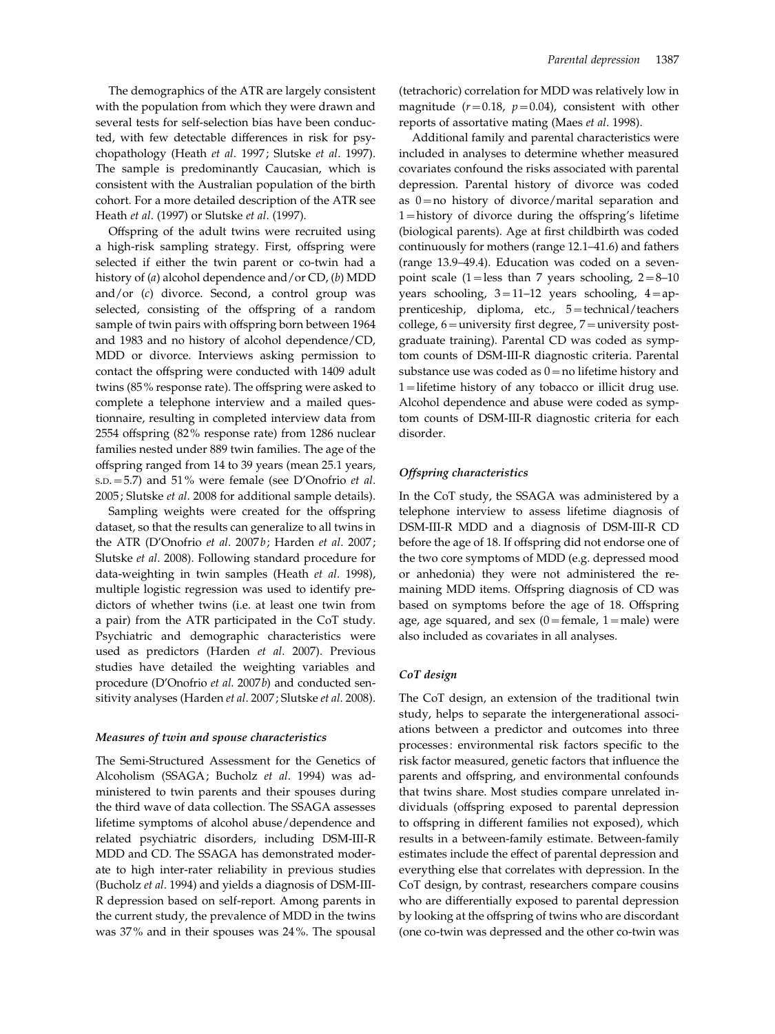The demographics of the ATR are largely consistent with the population from which they were drawn and several tests for self-selection bias have been conducted, with few detectable differences in risk for psychopathology (Heath et al. 1997; Slutske et al. 1997). The sample is predominantly Caucasian, which is consistent with the Australian population of the birth cohort. For a more detailed description of the ATR see Heath et al. (1997) or Slutske et al. (1997).

Offspring of the adult twins were recruited using a high-risk sampling strategy. First, offspring were selected if either the twin parent or co-twin had a history of (a) alcohol dependence and/or CD, (b) MDD and/or (c) divorce. Second, a control group was selected, consisting of the offspring of a random sample of twin pairs with offspring born between 1964 and 1983 and no history of alcohol dependence/CD, MDD or divorce. Interviews asking permission to contact the offspring were conducted with 1409 adult twins (85% response rate). The offspring were asked to complete a telephone interview and a mailed questionnaire, resulting in completed interview data from 2554 offspring (82% response rate) from 1286 nuclear families nested under 889 twin families. The age of the offspring ranged from 14 to 39 years (mean 25.1 years,  $S.D. = 5.7$ ) and  $51\%$  were female (see D'Onofrio *et al.*) 2005; Slutske et al. 2008 for additional sample details).

Sampling weights were created for the offspring dataset, so that the results can generalize to all twins in the ATR (D'Onofrio et al. 2007b; Harden et al. 2007; Slutske et al. 2008). Following standard procedure for data-weighting in twin samples (Heath et al. 1998), multiple logistic regression was used to identify predictors of whether twins (i.e. at least one twin from a pair) from the ATR participated in the CoT study. Psychiatric and demographic characteristics were used as predictors (Harden et al. 2007). Previous studies have detailed the weighting variables and procedure (D'Onofrio et al. 2007b) and conducted sensitivity analyses (Harden et al. 2007; Slutske et al. 2008).

#### Measures of twin and spouse characteristics

The Semi-Structured Assessment for the Genetics of Alcoholism (SSAGA; Bucholz et al. 1994) was administered to twin parents and their spouses during the third wave of data collection. The SSAGA assesses lifetime symptoms of alcohol abuse/dependence and related psychiatric disorders, including DSM-III-R MDD and CD. The SSAGA has demonstrated moderate to high inter-rater reliability in previous studies (Bucholz et al. 1994) and yields a diagnosis of DSM-III-R depression based on self-report. Among parents in the current study, the prevalence of MDD in the twins was 37% and in their spouses was 24%. The spousal (tetrachoric) correlation for MDD was relatively low in magnitude ( $r=0.18$ ,  $p=0.04$ ), consistent with other reports of assortative mating (Maes et al. 1998).

Additional family and parental characteristics were included in analyses to determine whether measured covariates confound the risks associated with parental depression. Parental history of divorce was coded as  $0 =$ no history of divorce/marital separation and 1=history of divorce during the offspring's lifetime (biological parents). Age at first childbirth was coded continuously for mothers (range 12.1–41.6) and fathers (range 13.9–49.4). Education was coded on a sevenpoint scale (1=less than 7 years schooling,  $2=8-10$ years schooling,  $3=11-12$  years schooling,  $4=ap$ prenticeship, diploma, etc., 5=technical/teachers college,  $6=$ university first degree,  $7=$ university postgraduate training). Parental CD was coded as symptom counts of DSM-III-R diagnostic criteria. Parental substance use was coded as  $0=$  no lifetime history and 1=lifetime history of any tobacco or illicit drug use. Alcohol dependence and abuse were coded as symptom counts of DSM-III-R diagnostic criteria for each disorder.

## Offspring characteristics

In the CoT study, the SSAGA was administered by a telephone interview to assess lifetime diagnosis of DSM-III-R MDD and a diagnosis of DSM-III-R CD before the age of 18. If offspring did not endorse one of the two core symptoms of MDD (e.g. depressed mood or anhedonia) they were not administered the remaining MDD items. Offspring diagnosis of CD was based on symptoms before the age of 18. Offspring age, age squared, and sex  $(0)$ =female, 1=male) were also included as covariates in all analyses.

# CoT design

The CoT design, an extension of the traditional twin study, helps to separate the intergenerational associations between a predictor and outcomes into three processes: environmental risk factors specific to the risk factor measured, genetic factors that influence the parents and offspring, and environmental confounds that twins share. Most studies compare unrelated individuals (offspring exposed to parental depression to offspring in different families not exposed), which results in a between-family estimate. Between-family estimates include the effect of parental depression and everything else that correlates with depression. In the CoT design, by contrast, researchers compare cousins who are differentially exposed to parental depression by looking at the offspring of twins who are discordant (one co-twin was depressed and the other co-twin was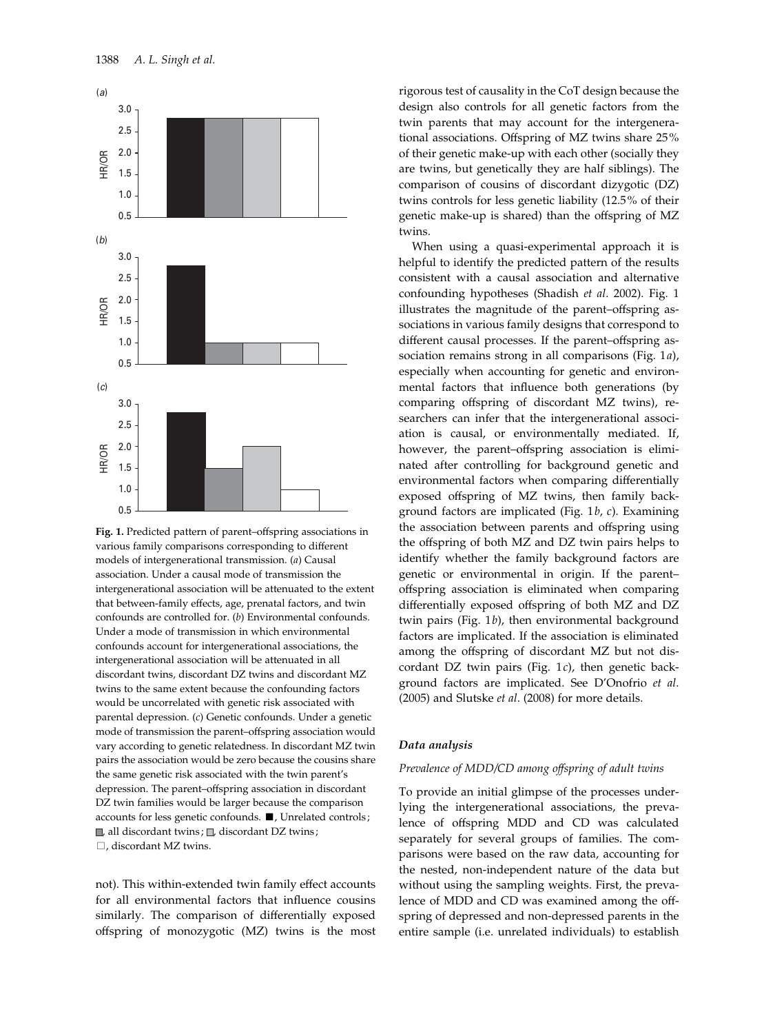

Fig. 1. Predicted pattern of parent–offspring associations in various family comparisons corresponding to different models of intergenerational transmission. (a) Causal association. Under a causal mode of transmission the intergenerational association will be attenuated to the extent that between-family effects, age, prenatal factors, and twin confounds are controlled for. (b) Environmental confounds. Under a mode of transmission in which environmental confounds account for intergenerational associations, the intergenerational association will be attenuated in all discordant twins, discordant DZ twins and discordant MZ twins to the same extent because the confounding factors would be uncorrelated with genetic risk associated with parental depression. (c) Genetic confounds. Under a genetic mode of transmission the parent–offspring association would vary according to genetic relatedness. In discordant MZ twin pairs the association would be zero because the cousins share the same genetic risk associated with the twin parent's depression. The parent–offspring association in discordant DZ twin families would be larger because the comparison accounts for less genetic confounds.  $\blacksquare$ , Unrelated controls;  $\Box$ , all discordant twins ;  $\Box$ , discordant DZ twins ;  $\Box$ , discordant MZ twins.

not). This within-extended twin family effect accounts for all environmental factors that influence cousins similarly. The comparison of differentially exposed offspring of monozygotic (MZ) twins is the most

rigorous test of causality in the CoT design because the design also controls for all genetic factors from the twin parents that may account for the intergenerational associations. Offspring of MZ twins share 25% of their genetic make-up with each other (socially they are twins, but genetically they are half siblings). The comparison of cousins of discordant dizygotic (DZ) twins controls for less genetic liability (12.5% of their genetic make-up is shared) than the offspring of MZ twins.

When using a quasi-experimental approach it is helpful to identify the predicted pattern of the results consistent with a causal association and alternative confounding hypotheses (Shadish et al. 2002). Fig. 1 illustrates the magnitude of the parent–offspring associations in various family designs that correspond to different causal processes. If the parent–offspring association remains strong in all comparisons (Fig. 1a), especially when accounting for genetic and environmental factors that influence both generations (by comparing offspring of discordant MZ twins), researchers can infer that the intergenerational association is causal, or environmentally mediated. If, however, the parent–offspring association is eliminated after controlling for background genetic and environmental factors when comparing differentially exposed offspring of MZ twins, then family background factors are implicated (Fig.  $1b$ ,  $c$ ). Examining the association between parents and offspring using the offspring of both MZ and DZ twin pairs helps to identify whether the family background factors are genetic or environmental in origin. If the parent– offspring association is eliminated when comparing differentially exposed offspring of both MZ and DZ twin pairs (Fig. 1b), then environmental background factors are implicated. If the association is eliminated among the offspring of discordant MZ but not discordant DZ twin pairs (Fig. 1c), then genetic background factors are implicated. See D'Onofrio et al. (2005) and Slutske et al. (2008) for more details.

#### Data analysis

# Prevalence of MDD/CD among offspring of adult twins

To provide an initial glimpse of the processes underlying the intergenerational associations, the prevalence of offspring MDD and CD was calculated separately for several groups of families. The comparisons were based on the raw data, accounting for the nested, non-independent nature of the data but without using the sampling weights. First, the prevalence of MDD and CD was examined among the offspring of depressed and non-depressed parents in the entire sample (i.e. unrelated individuals) to establish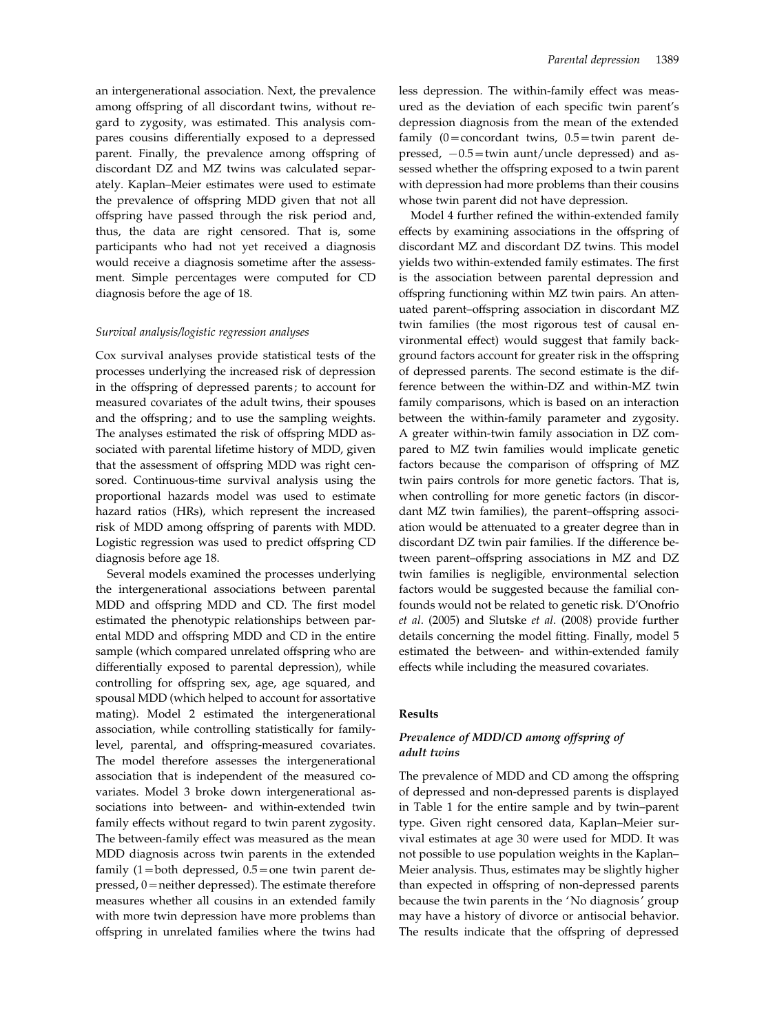an intergenerational association. Next, the prevalence among offspring of all discordant twins, without regard to zygosity, was estimated. This analysis compares cousins differentially exposed to a depressed parent. Finally, the prevalence among offspring of discordant DZ and MZ twins was calculated separately. Kaplan–Meier estimates were used to estimate the prevalence of offspring MDD given that not all offspring have passed through the risk period and, thus, the data are right censored. That is, some participants who had not yet received a diagnosis would receive a diagnosis sometime after the assessment. Simple percentages were computed for CD diagnosis before the age of 18.

#### Survival analysis/logistic regression analyses

Cox survival analyses provide statistical tests of the processes underlying the increased risk of depression in the offspring of depressed parents; to account for measured covariates of the adult twins, their spouses and the offspring; and to use the sampling weights. The analyses estimated the risk of offspring MDD associated with parental lifetime history of MDD, given that the assessment of offspring MDD was right censored. Continuous-time survival analysis using the proportional hazards model was used to estimate hazard ratios (HRs), which represent the increased risk of MDD among offspring of parents with MDD. Logistic regression was used to predict offspring CD diagnosis before age 18.

Several models examined the processes underlying the intergenerational associations between parental MDD and offspring MDD and CD. The first model estimated the phenotypic relationships between parental MDD and offspring MDD and CD in the entire sample (which compared unrelated offspring who are differentially exposed to parental depression), while controlling for offspring sex, age, age squared, and spousal MDD (which helped to account for assortative mating). Model 2 estimated the intergenerational association, while controlling statistically for familylevel, parental, and offspring-measured covariates. The model therefore assesses the intergenerational association that is independent of the measured covariates. Model 3 broke down intergenerational associations into between- and within-extended twin family effects without regard to twin parent zygosity. The between-family effect was measured as the mean MDD diagnosis across twin parents in the extended family  $(1=$  both depressed,  $0.5=$  one twin parent depressed, 0=neither depressed). The estimate therefore measures whether all cousins in an extended family with more twin depression have more problems than offspring in unrelated families where the twins had

less depression. The within-family effect was measured as the deviation of each specific twin parent's depression diagnosis from the mean of the extended family  $(0=$  concordant twins,  $0.5=$  twin parent depressed,  $-0.5$ =twin aunt/uncle depressed) and assessed whether the offspring exposed to a twin parent with depression had more problems than their cousins whose twin parent did not have depression.

Model 4 further refined the within-extended family effects by examining associations in the offspring of discordant MZ and discordant DZ twins. This model yields two within-extended family estimates. The first is the association between parental depression and offspring functioning within MZ twin pairs. An attenuated parent–offspring association in discordant MZ twin families (the most rigorous test of causal environmental effect) would suggest that family background factors account for greater risk in the offspring of depressed parents. The second estimate is the difference between the within-DZ and within-MZ twin family comparisons, which is based on an interaction between the within-family parameter and zygosity. A greater within-twin family association in DZ compared to MZ twin families would implicate genetic factors because the comparison of offspring of MZ twin pairs controls for more genetic factors. That is, when controlling for more genetic factors (in discordant MZ twin families), the parent–offspring association would be attenuated to a greater degree than in discordant DZ twin pair families. If the difference between parent–offspring associations in MZ and DZ twin families is negligible, environmental selection factors would be suggested because the familial confounds would not be related to genetic risk. D'Onofrio et al. (2005) and Slutske et al. (2008) provide further details concerning the model fitting. Finally, model 5 estimated the between- and within-extended family effects while including the measured covariates.

#### Results

# Prevalence of MDD/CD among offspring of adult twins

The prevalence of MDD and CD among the offspring of depressed and non-depressed parents is displayed in Table 1 for the entire sample and by twin–parent type. Given right censored data, Kaplan–Meier survival estimates at age 30 were used for MDD. It was not possible to use population weights in the Kaplan– Meier analysis. Thus, estimates may be slightly higher than expected in offspring of non-depressed parents because the twin parents in the 'No diagnosis' group may have a history of divorce or antisocial behavior. The results indicate that the offspring of depressed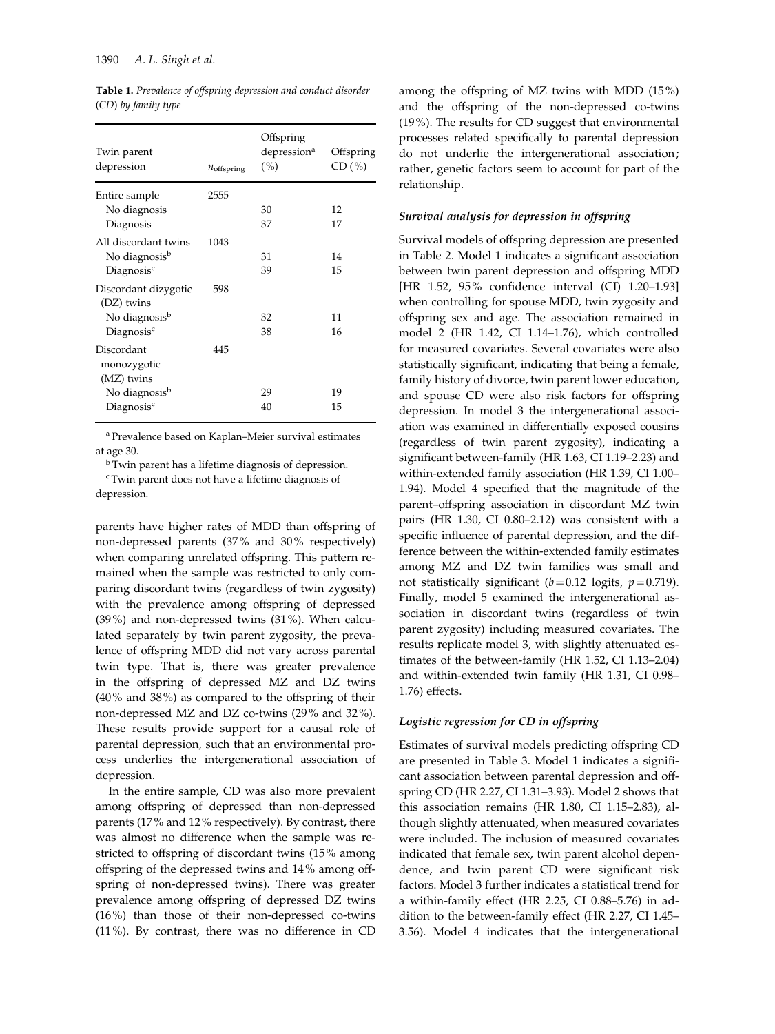| Twin parent<br>depression                                                                      | $n_{\text{offspring}}$ | Offspring<br>depression <sup>a</sup><br>( %) | Offspring<br>CD(%) |
|------------------------------------------------------------------------------------------------|------------------------|----------------------------------------------|--------------------|
| Entire sample<br>No diagnosis<br>Diagnosis                                                     | 2555                   | 30<br>37                                     | 12<br>17           |
| All discordant twins<br>No diagnosis <sup>b</sup><br>Diagnosis <sup>c</sup>                    | 1043                   | 31<br>39                                     | 14<br>15           |
| Discordant dizygotic<br>(DZ) twins<br>No diagnosis <sup>b</sup><br>Diagnosis <sup>c</sup>      | 598                    | 32<br>38                                     | 11<br>16           |
| Discordant<br>monozygotic<br>(MZ) twins<br>No diagnosis <sup>b</sup><br>Diagnosis <sup>c</sup> | 445                    | 29<br>40                                     | 19<br>15           |
|                                                                                                |                        |                                              |                    |
|                                                                                                |                        |                                              |                    |

Table 1. Prevalence of offspring depression and conduct disorder (CD) by family type

<sup>a</sup> Prevalence based on Kaplan–Meier survival estimates at age 30.

<sup>b</sup> Twin parent has a lifetime diagnosis of depression.

<sup>c</sup> Twin parent does not have a lifetime diagnosis of depression.

parents have higher rates of MDD than offspring of non-depressed parents (37% and 30% respectively) when comparing unrelated offspring. This pattern remained when the sample was restricted to only comparing discordant twins (regardless of twin zygosity) with the prevalence among offspring of depressed (39%) and non-depressed twins (31%). When calculated separately by twin parent zygosity, the prevalence of offspring MDD did not vary across parental twin type. That is, there was greater prevalence in the offspring of depressed MZ and DZ twins (40% and 38%) as compared to the offspring of their non-depressed MZ and DZ co-twins (29% and 32%). These results provide support for a causal role of parental depression, such that an environmental process underlies the intergenerational association of depression.

In the entire sample, CD was also more prevalent among offspring of depressed than non-depressed parents (17% and 12% respectively). By contrast, there was almost no difference when the sample was restricted to offspring of discordant twins (15% among offspring of the depressed twins and 14% among offspring of non-depressed twins). There was greater prevalence among offspring of depressed DZ twins (16%) than those of their non-depressed co-twins (11%). By contrast, there was no difference in CD among the offspring of MZ twins with MDD (15%) and the offspring of the non-depressed co-twins (19%). The results for CD suggest that environmental processes related specifically to parental depression do not underlie the intergenerational association; rather, genetic factors seem to account for part of the relationship.

# Survival analysis for depression in offspring

Survival models of offspring depression are presented in Table 2. Model 1 indicates a significant association between twin parent depression and offspring MDD [HR 1.52, 95% confidence interval (CI) 1.20–1.93] when controlling for spouse MDD, twin zygosity and offspring sex and age. The association remained in model 2 (HR 1.42, CI 1.14–1.76), which controlled for measured covariates. Several covariates were also statistically significant, indicating that being a female, family history of divorce, twin parent lower education, and spouse CD were also risk factors for offspring depression. In model 3 the intergenerational association was examined in differentially exposed cousins (regardless of twin parent zygosity), indicating a significant between-family (HR 1.63, CI 1.19–2.23) and within-extended family association (HR 1.39, CI 1.00– 1.94). Model 4 specified that the magnitude of the parent–offspring association in discordant MZ twin pairs (HR 1.30, CI 0.80–2.12) was consistent with a specific influence of parental depression, and the difference between the within-extended family estimates among MZ and DZ twin families was small and not statistically significant ( $b=0.12$  logits,  $p=0.719$ ). Finally, model 5 examined the intergenerational association in discordant twins (regardless of twin parent zygosity) including measured covariates. The results replicate model 3, with slightly attenuated estimates of the between-family (HR 1.52, CI 1.13–2.04) and within-extended twin family (HR 1.31, CI 0.98– 1.76) effects.

## Logistic regression for CD in offspring

Estimates of survival models predicting offspring CD are presented in Table 3. Model 1 indicates a significant association between parental depression and offspring CD (HR 2.27, CI 1.31–3.93). Model 2 shows that this association remains (HR 1.80, CI 1.15–2.83), although slightly attenuated, when measured covariates were included. The inclusion of measured covariates indicated that female sex, twin parent alcohol dependence, and twin parent CD were significant risk factors. Model 3 further indicates a statistical trend for a within-family effect (HR 2.25, CI 0.88–5.76) in addition to the between-family effect (HR 2.27, CI 1.45– 3.56). Model 4 indicates that the intergenerational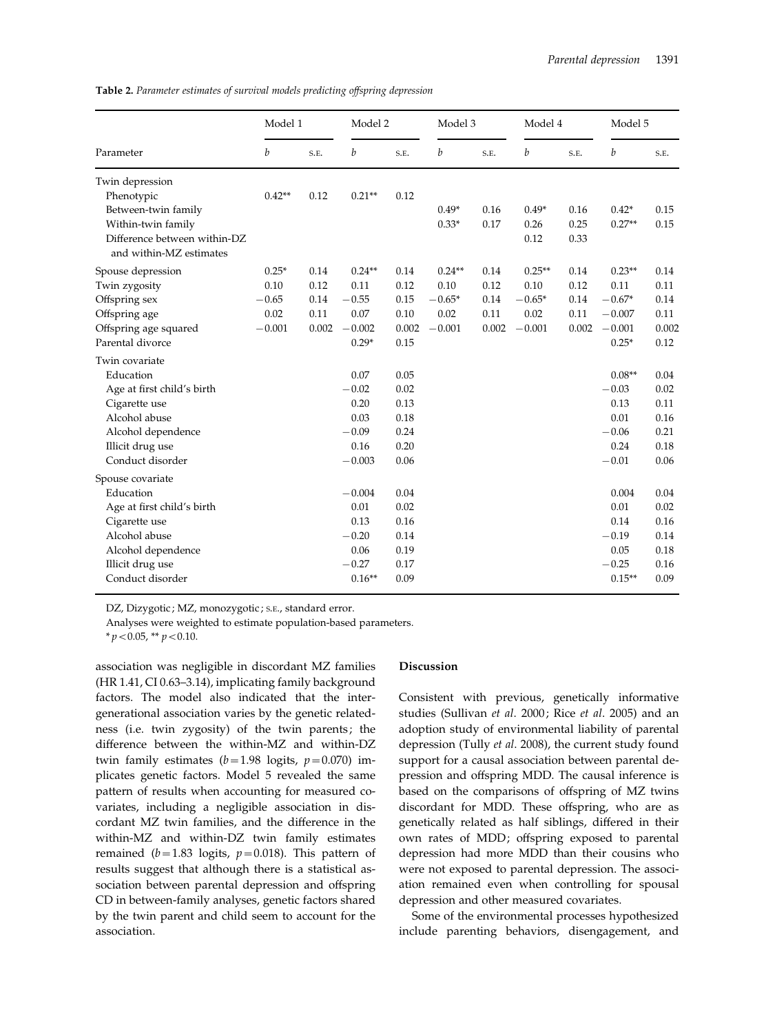Table 2. Parameter estimates of survival models predicting offspring depression

| Parameter                                               | Model 1  |       | Model 2  |       | Model 3  |       | Model 4  |       | Model 5  |       |
|---------------------------------------------------------|----------|-------|----------|-------|----------|-------|----------|-------|----------|-------|
|                                                         | b        | S.E.  | b        | S.E.  | b        | S.E.  | b        | S.E.  | b        | S.E.  |
| Twin depression                                         |          |       |          |       |          |       |          |       |          |       |
| Phenotypic                                              | $0.42**$ | 0.12  | $0.21**$ | 0.12  |          |       |          |       |          |       |
| Between-twin family                                     |          |       |          |       | $0.49*$  | 0.16  | $0.49*$  | 0.16  | $0.42*$  | 0.15  |
| Within-twin family                                      |          |       |          |       | $0.33*$  | 0.17  | 0.26     | 0.25  | $0.27**$ | 0.15  |
| Difference between within-DZ<br>and within-MZ estimates |          |       |          |       |          |       | 0.12     | 0.33  |          |       |
| Spouse depression                                       | $0.25*$  | 0.14  | $0.24**$ | 0.14  | $0.24**$ | 0.14  | $0.25**$ | 0.14  | $0.23**$ | 0.14  |
| Twin zygosity                                           | 0.10     | 0.12  | 0.11     | 0.12  | 0.10     | 0.12  | 0.10     | 0.12  | 0.11     | 0.11  |
| Offspring sex                                           | $-0.65$  | 0.14  | $-0.55$  | 0.15  | $-0.65*$ | 0.14  | $-0.65*$ | 0.14  | $-0.67*$ | 0.14  |
| Offspring age                                           | 0.02     | 0.11  | 0.07     | 0.10  | 0.02     | 0.11  | 0.02     | 0.11  | $-0.007$ | 0.11  |
| Offspring age squared                                   | $-0.001$ | 0.002 | $-0.002$ | 0.002 | $-0.001$ | 0.002 | $-0.001$ | 0.002 | $-0.001$ | 0.002 |
| Parental divorce                                        |          |       | $0.29*$  | 0.15  |          |       |          |       | $0.25*$  | 0.12  |
| Twin covariate                                          |          |       |          |       |          |       |          |       |          |       |
| Education                                               |          |       | 0.07     | 0.05  |          |       |          |       | $0.08**$ | 0.04  |
| Age at first child's birth                              |          |       | $-0.02$  | 0.02  |          |       |          |       | $-0.03$  | 0.02  |
| Cigarette use                                           |          |       | 0.20     | 0.13  |          |       |          |       | 0.13     | 0.11  |
| Alcohol abuse                                           |          |       | 0.03     | 0.18  |          |       |          |       | 0.01     | 0.16  |
| Alcohol dependence                                      |          |       | $-0.09$  | 0.24  |          |       |          |       | $-0.06$  | 0.21  |
| Illicit drug use                                        |          |       | 0.16     | 0.20  |          |       |          |       | 0.24     | 0.18  |
| Conduct disorder                                        |          |       | $-0.003$ | 0.06  |          |       |          |       | $-0.01$  | 0.06  |
| Spouse covariate                                        |          |       |          |       |          |       |          |       |          |       |
| Education                                               |          |       | $-0.004$ | 0.04  |          |       |          |       | 0.004    | 0.04  |
| Age at first child's birth                              |          |       | 0.01     | 0.02  |          |       |          |       | 0.01     | 0.02  |
| Cigarette use                                           |          |       | 0.13     | 0.16  |          |       |          |       | 0.14     | 0.16  |
| Alcohol abuse                                           |          |       | $-0.20$  | 0.14  |          |       |          |       | $-0.19$  | 0.14  |
| Alcohol dependence                                      |          |       | 0.06     | 0.19  |          |       |          |       | 0.05     | 0.18  |
| Illicit drug use                                        |          |       | $-0.27$  | 0.17  |          |       |          |       | $-0.25$  | 0.16  |
| Conduct disorder                                        |          |       | $0.16**$ | 0.09  |          |       |          |       | $0.15**$ | 0.09  |

DZ, Dizygotic ; MZ, monozygotic ; s.E., standard error.

Analyses were weighted to estimate population-based parameters.

 $* p < 0.05$ ,  $* p < 0.10$ .

association was negligible in discordant MZ families (HR 1.41, CI 0.63–3.14), implicating family background factors. The model also indicated that the intergenerational association varies by the genetic relatedness (i.e. twin zygosity) of the twin parents; the difference between the within-MZ and within-DZ twin family estimates ( $b=1.98$  logits,  $p=0.070$ ) implicates genetic factors. Model 5 revealed the same pattern of results when accounting for measured covariates, including a negligible association in discordant MZ twin families, and the difference in the within-MZ and within-DZ twin family estimates remained ( $b=1.83$  logits,  $p=0.018$ ). This pattern of results suggest that although there is a statistical association between parental depression and offspring CD in between-family analyses, genetic factors shared by the twin parent and child seem to account for the association.

## Discussion

Consistent with previous, genetically informative studies (Sullivan et al. 2000; Rice et al. 2005) and an adoption study of environmental liability of parental depression (Tully et al. 2008), the current study found support for a causal association between parental depression and offspring MDD. The causal inference is based on the comparisons of offspring of MZ twins discordant for MDD. These offspring, who are as genetically related as half siblings, differed in their own rates of MDD; offspring exposed to parental depression had more MDD than their cousins who were not exposed to parental depression. The association remained even when controlling for spousal depression and other measured covariates.

Some of the environmental processes hypothesized include parenting behaviors, disengagement, and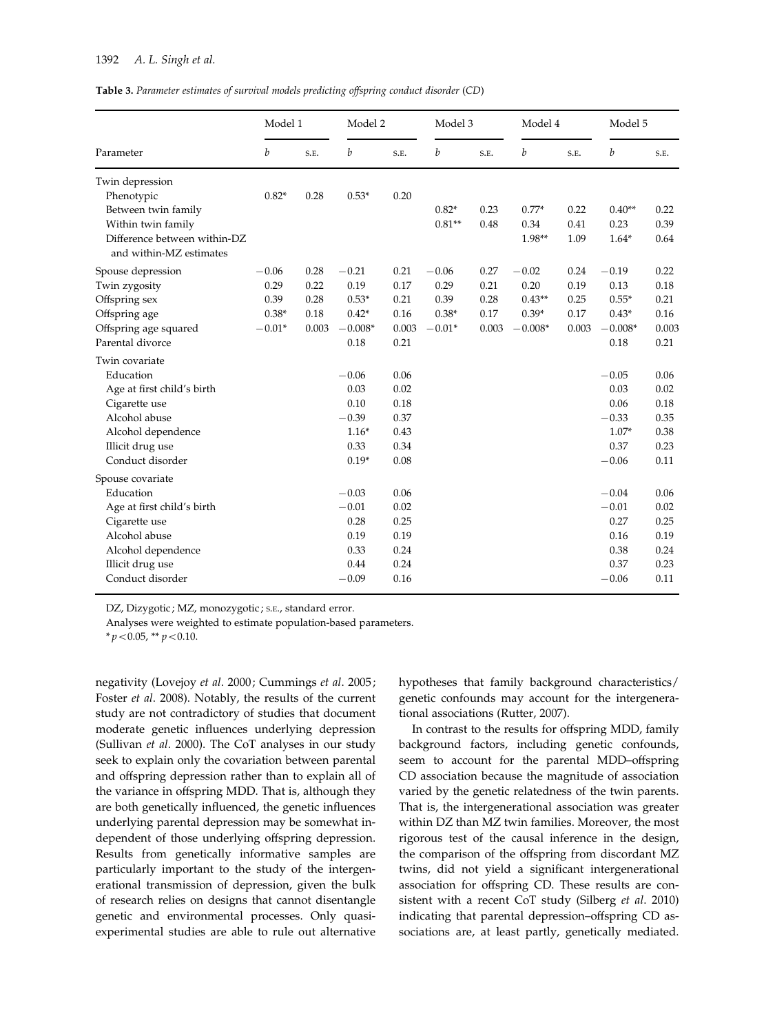Table 3. Parameter estimates of survival models predicting offspring conduct disorder (CD)

| Parameter                                               | Model 1  |       | Model 2   |       | Model 3  |       | Model 4   |       | Model 5   |       |
|---------------------------------------------------------|----------|-------|-----------|-------|----------|-------|-----------|-------|-----------|-------|
|                                                         | b        | S.E.  | b         | S.E.  | b        | S.E.  | b         | S.E.  | b         | S.E.  |
| Twin depression                                         |          |       |           |       |          |       |           |       |           |       |
| Phenotypic                                              | $0.82*$  | 0.28  | $0.53*$   | 0.20  |          |       |           |       |           |       |
| Between twin family                                     |          |       |           |       | $0.82*$  | 0.23  | $0.77*$   | 0.22  | $0.40**$  | 0.22  |
| Within twin family                                      |          |       |           |       | $0.81**$ | 0.48  | 0.34      | 0.41  | 0.23      | 0.39  |
| Difference between within-DZ<br>and within-MZ estimates |          |       |           |       |          |       | 1.98**    | 1.09  | $1.64*$   | 0.64  |
| Spouse depression                                       | $-0.06$  | 0.28  | $-0.21$   | 0.21  | $-0.06$  | 0.27  | $-0.02$   | 0.24  | $-0.19$   | 0.22  |
| Twin zygosity                                           | 0.29     | 0.22  | 0.19      | 0.17  | 0.29     | 0.21  | 0.20      | 0.19  | 0.13      | 0.18  |
| Offspring sex                                           | 0.39     | 0.28  | $0.53*$   | 0.21  | 0.39     | 0.28  | $0.43**$  | 0.25  | $0.55*$   | 0.21  |
| Offspring age                                           | $0.38*$  | 0.18  | $0.42*$   | 0.16  | $0.38*$  | 0.17  | $0.39*$   | 0.17  | $0.43*$   | 0.16  |
| Offspring age squared                                   | $-0.01*$ | 0.003 | $-0.008*$ | 0.003 | $-0.01*$ | 0.003 | $-0.008*$ | 0.003 | $-0.008*$ | 0.003 |
| Parental divorce                                        |          |       | 0.18      | 0.21  |          |       |           |       | 0.18      | 0.21  |
| Twin covariate                                          |          |       |           |       |          |       |           |       |           |       |
| Education                                               |          |       | $-0.06$   | 0.06  |          |       |           |       | $-0.05$   | 0.06  |
| Age at first child's birth                              |          |       | 0.03      | 0.02  |          |       |           |       | 0.03      | 0.02  |
| Cigarette use                                           |          |       | 0.10      | 0.18  |          |       |           |       | 0.06      | 0.18  |
| Alcohol abuse                                           |          |       | $-0.39$   | 0.37  |          |       |           |       | $-0.33$   | 0.35  |
| Alcohol dependence                                      |          |       | $1.16*$   | 0.43  |          |       |           |       | $1.07*$   | 0.38  |
| Illicit drug use                                        |          |       | 0.33      | 0.34  |          |       |           |       | 0.37      | 0.23  |
| Conduct disorder                                        |          |       | $0.19*$   | 0.08  |          |       |           |       | $-0.06$   | 0.11  |
| Spouse covariate                                        |          |       |           |       |          |       |           |       |           |       |
| Education                                               |          |       | $-0.03$   | 0.06  |          |       |           |       | $-0.04$   | 0.06  |
| Age at first child's birth                              |          |       | $-0.01$   | 0.02  |          |       |           |       | $-0.01$   | 0.02  |
| Cigarette use                                           |          |       | 0.28      | 0.25  |          |       |           |       | 0.27      | 0.25  |
| Alcohol abuse                                           |          |       | 0.19      | 0.19  |          |       |           |       | 0.16      | 0.19  |
| Alcohol dependence                                      |          |       | 0.33      | 0.24  |          |       |           |       | 0.38      | 0.24  |
| Illicit drug use                                        |          |       | 0.44      | 0.24  |          |       |           |       | 0.37      | 0.23  |
| Conduct disorder                                        |          |       | $-0.09$   | 0.16  |          |       |           |       | $-0.06$   | 0.11  |

DZ, Dizygotic ; MZ, monozygotic ; S.E., standard error.

Analyses were weighted to estimate population-based parameters.

 $* p < 0.05$ ,  $* p < 0.10$ .

negativity (Lovejoy et al. 2000; Cummings et al. 2005; Foster et al. 2008). Notably, the results of the current study are not contradictory of studies that document moderate genetic influences underlying depression (Sullivan et al. 2000). The CoT analyses in our study seek to explain only the covariation between parental and offspring depression rather than to explain all of the variance in offspring MDD. That is, although they are both genetically influenced, the genetic influences underlying parental depression may be somewhat independent of those underlying offspring depression. Results from genetically informative samples are particularly important to the study of the intergenerational transmission of depression, given the bulk of research relies on designs that cannot disentangle genetic and environmental processes. Only quasiexperimental studies are able to rule out alternative hypotheses that family background characteristics/ genetic confounds may account for the intergenerational associations (Rutter, 2007).

In contrast to the results for offspring MDD, family background factors, including genetic confounds, seem to account for the parental MDD–offspring CD association because the magnitude of association varied by the genetic relatedness of the twin parents. That is, the intergenerational association was greater within DZ than MZ twin families. Moreover, the most rigorous test of the causal inference in the design, the comparison of the offspring from discordant MZ twins, did not yield a significant intergenerational association for offspring CD. These results are consistent with a recent CoT study (Silberg et al. 2010) indicating that parental depression–offspring CD associations are, at least partly, genetically mediated.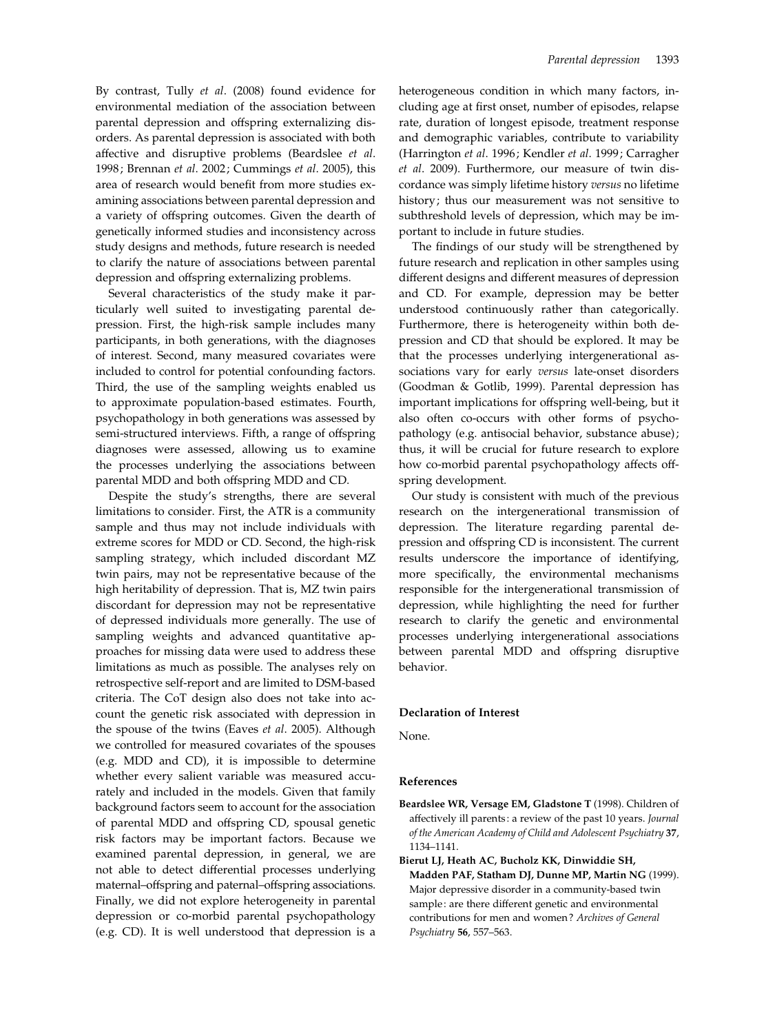By contrast, Tully et al. (2008) found evidence for environmental mediation of the association between parental depression and offspring externalizing disorders. As parental depression is associated with both affective and disruptive problems (Beardslee et al. 1998; Brennan et al. 2002; Cummings et al. 2005), this area of research would benefit from more studies examining associations between parental depression and a variety of offspring outcomes. Given the dearth of genetically informed studies and inconsistency across study designs and methods, future research is needed to clarify the nature of associations between parental depression and offspring externalizing problems.

Several characteristics of the study make it particularly well suited to investigating parental depression. First, the high-risk sample includes many participants, in both generations, with the diagnoses of interest. Second, many measured covariates were included to control for potential confounding factors. Third, the use of the sampling weights enabled us to approximate population-based estimates. Fourth, psychopathology in both generations was assessed by semi-structured interviews. Fifth, a range of offspring diagnoses were assessed, allowing us to examine the processes underlying the associations between parental MDD and both offspring MDD and CD.

Despite the study's strengths, there are several limitations to consider. First, the ATR is a community sample and thus may not include individuals with extreme scores for MDD or CD. Second, the high-risk sampling strategy, which included discordant MZ twin pairs, may not be representative because of the high heritability of depression. That is, MZ twin pairs discordant for depression may not be representative of depressed individuals more generally. The use of sampling weights and advanced quantitative approaches for missing data were used to address these limitations as much as possible. The analyses rely on retrospective self-report and are limited to DSM-based criteria. The CoT design also does not take into account the genetic risk associated with depression in the spouse of the twins (Eaves et al. 2005). Although we controlled for measured covariates of the spouses (e.g. MDD and CD), it is impossible to determine whether every salient variable was measured accurately and included in the models. Given that family background factors seem to account for the association of parental MDD and offspring CD, spousal genetic risk factors may be important factors. Because we examined parental depression, in general, we are not able to detect differential processes underlying maternal–offspring and paternal–offspring associations. Finally, we did not explore heterogeneity in parental depression or co-morbid parental psychopathology (e.g. CD). It is well understood that depression is a heterogeneous condition in which many factors, including age at first onset, number of episodes, relapse rate, duration of longest episode, treatment response and demographic variables, contribute to variability (Harrington et al. 1996; Kendler et al. 1999; Carragher et al. 2009). Furthermore, our measure of twin discordance was simply lifetime history versus no lifetime history; thus our measurement was not sensitive to subthreshold levels of depression, which may be important to include in future studies.

The findings of our study will be strengthened by future research and replication in other samples using different designs and different measures of depression and CD. For example, depression may be better understood continuously rather than categorically. Furthermore, there is heterogeneity within both depression and CD that should be explored. It may be that the processes underlying intergenerational associations vary for early versus late-onset disorders (Goodman & Gotlib, 1999). Parental depression has important implications for offspring well-being, but it also often co-occurs with other forms of psychopathology (e.g. antisocial behavior, substance abuse); thus, it will be crucial for future research to explore how co-morbid parental psychopathology affects offspring development.

Our study is consistent with much of the previous research on the intergenerational transmission of depression. The literature regarding parental depression and offspring CD is inconsistent. The current results underscore the importance of identifying, more specifically, the environmental mechanisms responsible for the intergenerational transmission of depression, while highlighting the need for further research to clarify the genetic and environmental processes underlying intergenerational associations between parental MDD and offspring disruptive behavior.

#### Declaration of Interest

None.

#### References

- Beardslee WR, Versage EM, Gladstone T (1998). Children of affectively ill parents : a review of the past 10 years. Journal of the American Academy of Child and Adolescent Psychiatry 37, 1134–1141.
- Bierut LJ, Heath AC, Bucholz KK, Dinwiddie SH, Madden PAF, Statham DJ, Dunne MP, Martin NG (1999). Major depressive disorder in a community-based twin sample: are there different genetic and environmental contributions for men and women ? Archives of General Psychiatry 56, 557–563.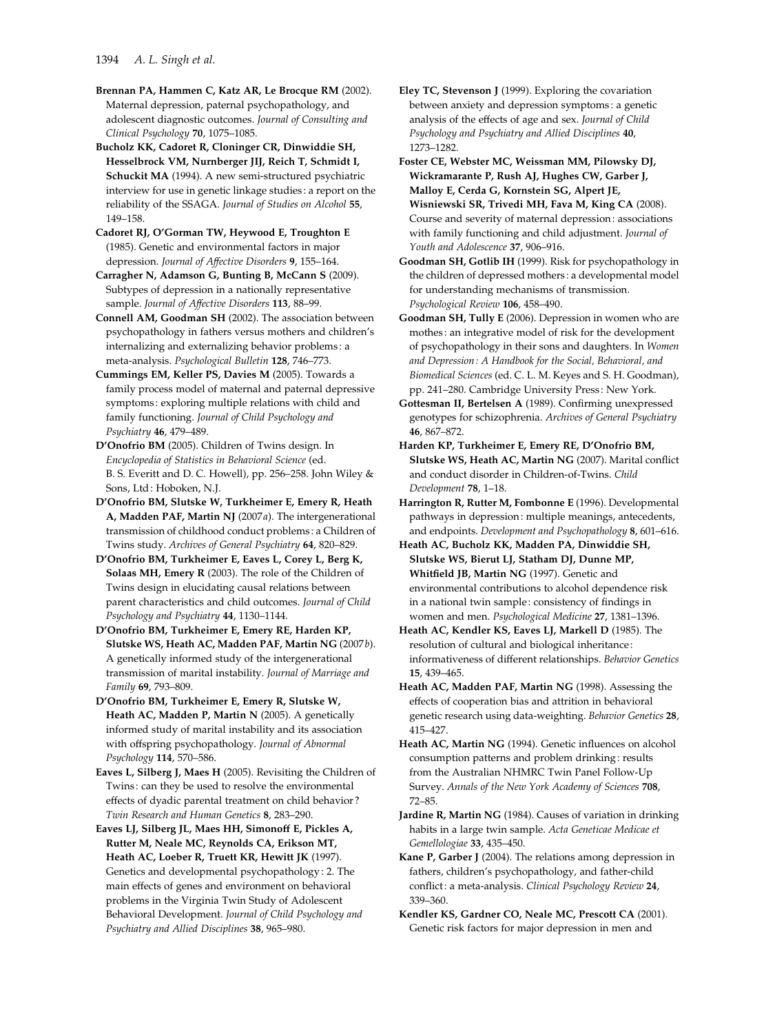Brennan PA, Hammen C, Katz AR, Le Brocque RM (2002). Maternal depression, paternal psychopathology, and adolescent diagnostic outcomes. Journal of Consulting and Clinical Psychology 70, 1075–1085.

Bucholz KK, Cadoret R, Cloninger CR, Dinwiddie SH, Hesselbrock VM, Nurnberger JIJ, Reich T, Schmidt I, Schuckit MA (1994). A new semi-structured psychiatric interview for use in genetic linkage studies : a report on the reliability of the SSAGA. Journal of Studies on Alcohol 55, 149–158.

Cadoret RJ, O'Gorman TW, Heywood E, Troughton E (1985). Genetic and environmental factors in major depression. Journal of Affective Disorders 9, 155–164.

Carragher N, Adamson G, Bunting B, McCann S (2009). Subtypes of depression in a nationally representative sample. Journal of Affective Disorders 113, 88-99.

Connell AM, Goodman SH (2002). The association between psychopathology in fathers versus mothers and children's internalizing and externalizing behavior problems : a meta-analysis. Psychological Bulletin 128, 746–773.

Cummings EM, Keller PS, Davies M (2005). Towards a family process model of maternal and paternal depressive symptoms: exploring multiple relations with child and family functioning. Journal of Child Psychology and Psychiatry 46, 479–489.

D'Onofrio BM (2005). Children of Twins design. In Encyclopedia of Statistics in Behavioral Science (ed. B. S. Everitt and D. C. Howell), pp. 256–258. John Wiley & Sons, Ltd: Hoboken, N.J.

D'Onofrio BM, Slutske W, Turkheimer E, Emery R, Heath A, Madden PAF, Martin NJ (2007a). The intergenerational transmission of childhood conduct problems : a Children of Twins study. Archives of General Psychiatry 64, 820–829.

D'Onofrio BM, Turkheimer E, Eaves L, Corey L, Berg K, Solaas MH, Emery R (2003). The role of the Children of Twins design in elucidating causal relations between parent characteristics and child outcomes. Journal of Child Psychology and Psychiatry 44, 1130–1144.

D'Onofrio BM, Turkheimer E, Emery RE, Harden KP, Slutske WS, Heath AC, Madden PAF, Martin NG (2007b). A genetically informed study of the intergenerational transmission of marital instability. Journal of Marriage and Family 69, 793–809.

D'Onofrio BM, Turkheimer E, Emery R, Slutske W, Heath AC, Madden P, Martin N (2005). A genetically informed study of marital instability and its association with offspring psychopathology. Journal of Abnormal Psychology 114, 570–586.

Eaves L, Silberg J, Maes H (2005). Revisiting the Children of Twins : can they be used to resolve the environmental effects of dyadic parental treatment on child behavior ? Twin Research and Human Genetics 8, 283–290.

Eaves LJ, Silberg JL, Maes HH, Simonoff E, Pickles A, Rutter M, Neale MC, Reynolds CA, Erikson MT, Heath AC, Loeber R, Truett KR, Hewitt JK (1997). Genetics and developmental psychopathology : 2. The main effects of genes and environment on behavioral problems in the Virginia Twin Study of Adolescent Behavioral Development. Journal of Child Psychology and Psychiatry and Allied Disciplines 38, 965–980.

Eley TC, Stevenson J (1999). Exploring the covariation between anxiety and depression symptoms : a genetic analysis of the effects of age and sex. Journal of Child Psychology and Psychiatry and Allied Disciplines 40, 1273–1282.

Foster CE, Webster MC, Weissman MM, Pilowsky DJ, Wickramarante P, Rush AJ, Hughes CW, Garber J, Malloy E, Cerda G, Kornstein SG, Alpert JE, Wisniewski SR, Trivedi MH, Fava M, King CA (2008). Course and severity of maternal depression : associations with family functioning and child adjustment. Journal of Youth and Adolescence 37, 906–916.

Goodman SH, Gotlib IH (1999). Risk for psychopathology in the children of depressed mothers: a developmental model for understanding mechanisms of transmission. Psychological Review 106, 458–490.

Goodman SH, Tully E (2006). Depression in women who are mothes : an integrative model of risk for the development of psychopathology in their sons and daughters. In Women and Depression : A Handbook for the Social, Behavioral, and Biomedical Sciences (ed. C. L. M. Keyes and S. H. Goodman), pp. 241–280. Cambridge University Press : New York.

Gottesman II, Bertelsen A (1989). Confirming unexpressed genotypes for schizophrenia. Archives of General Psychiatry 46, 867–872.

Harden KP, Turkheimer E, Emery RE, D'Onofrio BM, Slutske WS, Heath AC, Martin NG (2007). Marital conflict and conduct disorder in Children-of-Twins. Child Development 78, 1–18.

Harrington R, Rutter M, Fombonne E (1996). Developmental pathways in depression : multiple meanings, antecedents, and endpoints. Development and Psychopathology 8, 601–616.

Heath AC, Bucholz KK, Madden PA, Dinwiddie SH, Slutske WS, Bierut LJ, Statham DJ, Dunne MP, Whitfield JB, Martin NG (1997). Genetic and environmental contributions to alcohol dependence risk in a national twin sample : consistency of findings in women and men. Psychological Medicine 27, 1381–1396.

Heath AC, Kendler KS, Eaves LJ, Markell D (1985). The resolution of cultural and biological inheritance : informativeness of different relationships. Behavior Genetics 15, 439–465.

Heath AC, Madden PAF, Martin NG (1998). Assessing the effects of cooperation bias and attrition in behavioral genetic research using data-weighting. Behavior Genetics 28, 415–427.

Heath AC, Martin NG (1994). Genetic influences on alcohol consumption patterns and problem drinking : results from the Australian NHMRC Twin Panel Follow-Up Survey. Annals of the New York Academy of Sciences 708, 72–85.

Jardine R, Martin NG (1984). Causes of variation in drinking habits in a large twin sample. Acta Geneticae Medicae et Gemellologiae 33, 435–450.

Kane P, Garber J (2004). The relations among depression in fathers, children's psychopathology, and father-child conflict : a meta-analysis. Clinical Psychology Review 24, 339–360.

Kendler KS, Gardner CO, Neale MC, Prescott CA (2001). Genetic risk factors for major depression in men and